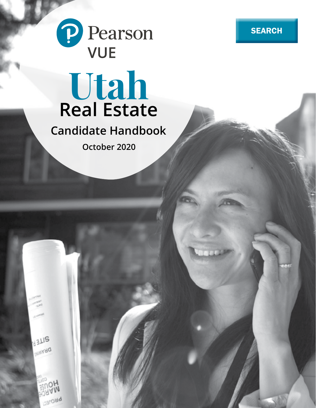



# **Utah Real Estate**

**Candidate Handbook**

**October 2020**

**BLIS ARAWA** 

**Daroud**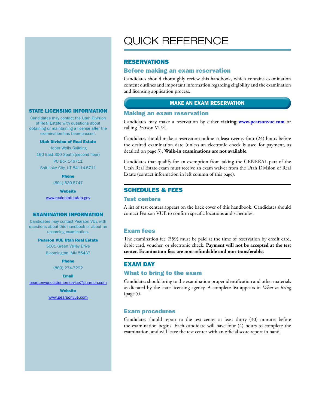#### STATE LICENSING INFORMATION

Candidates may contact the Utah Division of Real Estate with questions about obtaining or maintaining a license after the examination has been passed.

#### Utah Division of Real Estate

Heber Wells Building 160 East 300 South (second floor) PO Box 146711 Salt Lake City, UT 84114-6711

Phone

(801) 530-6747

**Website** 

www.realestate.utah.gov

#### EXAMINATION INFORMATION

Candidates may contact Pearson VUE with questions about this handbook or about an upcoming examination.

#### Pearson VUE Utah Real Estate

5601 Green Valley Drive Bloomington, MN 55437

> Phone (800) 274-7292

#### Email

pearsonvuecustomerservice@pearson.com

**Website** www.pearsonvue.com

# QUICK REFERENCE

#### RESERVATIONS

#### Before making an exam reservation

Candidates should thoroughly review this handbook, which contains examination content outlines and important information regarding eligibility and the examination and licensing application process.

#### MAKE AN EXAM RESERVATION

#### Making an exam reservation

Candidates may make a reservation by either v**isiting www.pearsonvue.com** or calling Pearson VUE.

Candidates should make a reservation online at least twenty-four (24) hours before the desired examination date (unless an electronic check is used for payment, as detailed on page 3). **Walk-in examinations are not available.**

Candidates that qualify for an exemption from taking the GENERAL part of the Utah Real Estate exam must receive an exam waiver from the Utah Division of Real Estate (contact information in left column of this page).

#### SCHEDULES & FEES

#### Test centers

A list of test centers appears on the back cover of this handbook. Candidates should contact Pearson VUE to confirm specific locations and schedules.

#### Exam fees

The examination fee (\$59) must be paid at the time of reservation by credit card, debit card, voucher, or electronic check. **Payment will not be accepted at the test center. Examination fees are non-refundable and non-transferable.**

#### EXAM DAY

#### What to bring to the exam

Candidates should bring to the examination proper identification and other materials as dictated by the state licensing agency. A complete list appears in *What to Bring*  (page 5).

#### Exam procedures

Candidates should report to the test center at least thirty (30) minutes before the examination begins. Each candidate will have four (4) hours to complete the examination, and will leave the test center with an official score report in hand.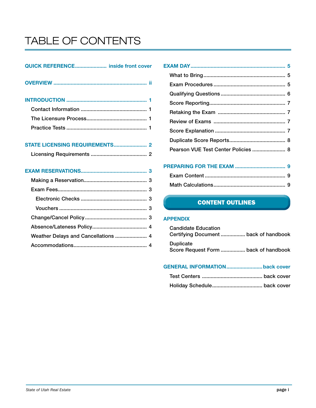# TABLE OF CONTENTS

### QUICK REFERENCE...................... inside front cover

# STATE LICENSING REQUIREMENTS....................... 2

# EXAM RESERVATIONS.............................................. 3

| Pearson VUE Test Center Policies  8 |  |
|-------------------------------------|--|
|                                     |  |

# PREPARING FOR THE EXAM ................................... 9 Exam Content ........................................................ 9 Math Calculations.................................................. 9

# **CONTENT OUTLINES**

### APPENDIX

| <b>Candidate Education</b> | Certifying Document  back of handbook |
|----------------------------|---------------------------------------|
| <b>Duplicate</b>           | Score Request Form  back of handbook  |

# GENERAL INFORMATION.........................back cover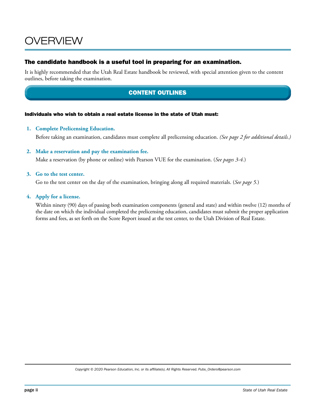# OVERVIEW

### The candidate handbook is a useful tool in preparing for an examination.

It is highly recommended that the Utah Real Estate handbook be reviewed, with special attention given to the content outlines, before taking the examination.

# CONTENT OUTLINES

#### Individuals who wish to obtain a real estate license in the state of Utah must:

#### **1. Complete Prelicensing Education.**

Before taking an examination, candidates must complete all prelicensing education. *(See page 2 for additional details.)*

#### **2. Make a reservation and pay the examination fee.**

Make a reservation (by phone or online) with Pearson VUE for the examination. (*See pages 3-4.*)

#### **3. Go to the test center.**

Go to the test center on the day of the examination, bringing along all required materials. (*See page 5.*)

#### **4. Apply for a license.**

Within ninety (90) days of passing both examination components (general and state) and within twelve (12) months of the date on which the individual completed the prelicensing education, candidates must submit the proper application forms and fees, as set forth on the Score Report issued at the test center, to the Utah Division of Real Estate.

*Copyright © 2020 Pearson Education, Inc. or its affiliate(s). All Rights Reserved. Pubs\_Orders@pearson.com*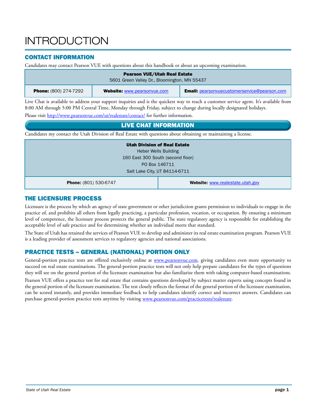# **INTRODUCTION**

# CONTACT INFORMATION

Candidates may contact Pearson VUE with questions about this handbook or about an upcoming examination.

| <b>Pearson VUE/Utah Real Estate</b><br>5601 Green Valley Dr., Bloomington, MN 55437                                       |  |  |  |  |  |
|---------------------------------------------------------------------------------------------------------------------------|--|--|--|--|--|
| <b>Email:</b> pearsonvuecustomerservice@pearson.com<br><b>Phone:</b> (800) 274-7292<br><b>Website: www.pearsonvue.com</b> |  |  |  |  |  |

Live Chat is available to address your support inquiries and is the quickest way to reach a customer service agent. It's available from 8:00 AM through 5:00 PM Central Time, Monday through Friday, subject to change during locally designated holidays.

Please visit http://www.pearsonvue.com/ut/realestate/contact/ for further information.

# LIVE CHAT INFORMATION

Candidates my contact the Utah Division of Real Estate with questions about obtaining or maintaining a license.

| <b>Utah Division of Real Estate</b> |
|-------------------------------------|
| <b>Heber Wells Building</b>         |
| 160 East 300 South (second floor)   |
| PO Box 146711                       |
| Salt Lake City, UT 84114-6711       |

Phone: (801) 530-6747 **Website:** www.realestate.utah.gov

# THE LICENSURE PROCESS

Licensure is the process by which an agency of state government or other jurisdiction grants permission to individuals to engage in the practice of, and prohibits all others from legally practicing, a particular profession, vocation, or occupation. By ensuring a minimum level of competence, the licensure process protects the general public. The state regulatory agency is responsible for establishing the acceptable level of safe practice and for determining whether an individual meets that standard.

The State of Utah has retained the services of Pearson VUE to develop and administer its real estate examination program. Pearson VUE is a leading provider of assessment services to regulatory agencies and national associations.

# PRACTICE TESTS – GENERAL (NATIONAL) PORTION ONLY

General-portion practice tests are offered exclusively online at www.pearsonvue.com, giving candidates even more opportunity to succeed on real estate examinations. The general-portion practice tests will not only help prepare candidates for the types of questions they will see on the general portion of the licensure examination but also familiarize them with taking computer-based examinations.

Pearson VUE offers a practice test for real estate that contains questions developed by subject matter experts using concepts found in the general portion of the licensure examination. The test closely reflects the format of the general portion of the licensure examination, can be scored instantly, and provides immediate feedback to help candidates identify correct and incorrect answers. Candidates can purchase general-portion practice tests anytime by visiting www.pearsonvue.com/practicetests/realestate.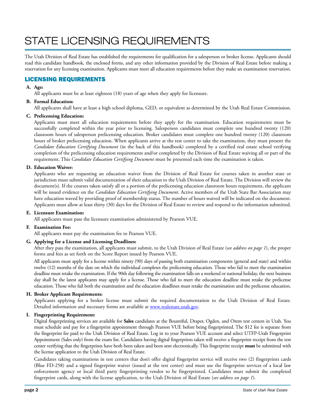# STATE LICENSING REQUIREMENTS

The Utah Division of Real Estate has established the requirements for qualification for a salesperson or broker license. Applicants should read this candidate handbook, the enclosed forms, and any other information provided by the Division of Real Estate before making a reservation for any licensing examination. Applicants must meet all education requirements before they make an examination reservation.

# LICENSING REQUIREMENTS

#### **A. Age:**

All applicants must be at least eighteen (18) years of age when they apply for licensure.

#### **B. Formal Education:**

All applicants shall have at least a high school diploma, GED, or equivalent as determined by the Utah Real Estate Commission.

#### **C. Prelicensing Education:**

Applicants must meet all education requirements before they apply for the examination. Education requirements must be successfully completed within the year prior to licensing. Salesperson candidates must complete one hundred twenty (120) classroom hours of salesperson prelicensing education. Broker candidates must complete one hundred twenty (120) classroom hours of broker prelicensing education. When applicants arrive at the test center to take the examination, they must present the *Candidate Education Certifying Document* (in the back of this handbook) completed by a certified real estate school verifying completion of the prelicensing education requirements and/or completed by the Division of Real Estate waiving all or part of the requirement. This *Candidate Education Certifying Document* must be presented each time the examination is taken.

#### **D. Education Waiver:**

Applicants who are requesting an education waiver from the Division of Real Estate for courses taken in another state or jurisdiction must submit valid documentation of their education to the Utah Division of Real Estate. The Division will review the document(s). If the courses taken satisfy all or a portion of the prelicensing education classroom hours requirement, the applicant will be issued evidence on the *Candidate Education Certifying Document*. Active members of the Utah State Bar Association may have education waved by providing proof of membership status. The number of hours waived will be indicated on the document. Applicants must allow at least thirty (30) days for the Division of Real Estate to review and respond to the information submitted.

#### **E. Licensure Examination:**

All applicants must pass the licensure examination administered by Pearson VUE.

#### **F. Examination Fee:**

All applicants must pay the examination fee to Pearson VUE.

#### **G. Applying for a License and Licensing Deadlines:**

After they pass the examination, all applicants must submit, to the Utah Division of Real Estate (*see address on page 1*), the proper forms and fees as set forth on the Score Report issued by Pearson VUE.

All applicants must apply for a license within ninety (90) days of passing both examination components (general and state) and within twelve (12) months of the date on which the individual completes the prelicensing education. Those who fail to meet the examination deadline must retake the examination. If the 90th day following the examination falls on a weekend or national holiday, the next business day shall be the latest applicants may apply for a license. Those who fail to meet the education deadline must retake the prelicense education. Those who fail both the examination and the education deadlines must retake the examination and the prelicense education.

#### **H. Broker Applicant Requirements:**

Applicants applying for a broker license must submit the required documentation to the Utah Division of Real Estate. Detailed information and necessary forms are available at www.realestate.utah.gov.

#### **I. Fingerprinting Requirement:**

Digital fingerprinting services are available for **Sales** candidates at the Bountiful, Draper, Ogden, and Orem test centers in Utah. You must schedule and pay for a fingerprint appointment through Pearson VUE before being fingerprinted. The \$12 fee is separate from the fingerprint fee paid to the Utah Division of Real Estate. Log in to your Pearson VUE account and select UTFP-Utah Fingerprint Appointment (Sales only) from the exam list. Candidates having digital fingerprints taken will receive a fingerprint receipt from the test center verifying that the fingerprints have both been taken and been sent electronically. This fingerprint receipt **must** be submitted with the license application to the Utah Division of Real Estate.

Candidates taking examinations in test centers that don't offer digital fingerprint service will receive two (2) fingerprints cards (Blue FD-258) and a signed fingerprint waiver (issued at the test center) and must use the fingerprint services of a local law enforcement agency or local third party fingerprinting vendor to be fingerprinted. Candidates must submit the completed fingerprint cards, along with the license application, to the Utah Division of Real Estate (*see address on page 1*).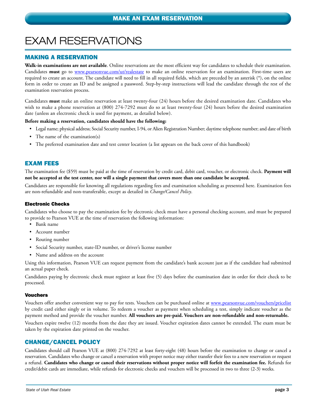# EXAM RESERVATIONS

### MAKING A RESERVATION

**Walk-in examinations are not available**. Online reservations are the most efficient way for candidates to schedule their examination. Candidates **must** go to www.pearsonvue.com/ut/realestate to make an online reservation for an examination. First-time users are required to create an account. The candidate will need to fill in all required fields, which are preceded by an asterisk (\*), on the online form in order to create an ID and be assigned a password. Step-by-step instructions will lead the candidate through the rest of the examination reservation process.

Candidates **must** make an online reservation at least twenty-four (24) hours before the desired examination date. Candidates who wish to make a phone reservation at (800) 274-7292 must do so at least twenty-four (24) hours before the desired examination date (unless an electronic check is used for payment, as detailed below).

#### **Before making a reservation, candidates should have the following:**

- Legal name; physical address; Social Security number, I-94, or Alien Registration Number; daytime telephone number; and date of birth
- The name of the examination(s)
- The preferred examination date and test center location (a list appears on the back cover of this handbook)

#### EXAM FEES

The examination fee (\$59) must be paid at the time of reservation by credit card, debit card, voucher, or electronic check. **Payment will not be accepted at the test center, nor will a single payment that covers more than one candidate be accepted.** 

Candidates are responsible for knowing all regulations regarding fees and examination scheduling as presented here. Examination fees are non-refundable and non-transferable, except as detailed in *Change/Cancel Policy*.

#### Electronic Checks

Candidates who choose to pay the examination fee by electronic check must have a personal checking account, and must be prepared to provide to Pearson VUE at the time of reservation the following information:

- Bank name
- Account number
- Routing number
- Social Security number, state-ID number, or driver's license number
- Name and address on the account

Using this information, Pearson VUE can request payment from the candidate's bank account just as if the candidate had submitted an actual paper check.

Candidates paying by electronic check must register at least five (5) days before the examination date in order for their check to be processed.

#### Vouchers

Vouchers offer another convenient way to pay for tests. Vouchers can be purchased online at www.pearsonvue.com/vouchers/pricelist by credit card either singly or in volume. To redeem a voucher as payment when scheduling a test, simply indicate voucher as the payment method and provide the voucher number. **All vouchers are pre-paid. Vouchers are non-refundable and non-returnable.**

Vouchers expire twelve (12) months from the date they are issued. Voucher expiration dates cannot be extended. The exam must be taken by the expiration date printed on the voucher.

### CHANGE/CANCEL POLICY

Candidates should call Pearson VUE at (800) 274-7292 at least forty-eight (48) hours before the examination to change or cancel a reservation. Candidates who change or cancel a reservation with proper notice may either transfer their fees to a new reservation or request a refund. **Candidates who change or cancel their reservations without proper notice will forfeit the examination fee.** Refunds for credit/debit cards are immediate, while refunds for electronic checks and vouchers will be processed in two to three (2-3) weeks.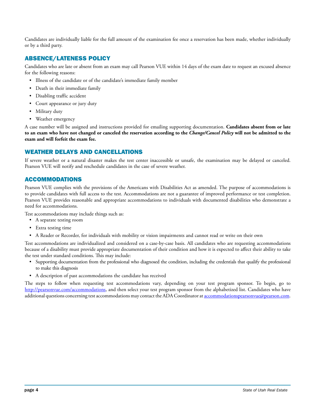Candidates are individually liable for the full amount of the examination fee once a reservation has been made, whether individually or by a third party.

# ABSENCE/LATENESS POLICY

Candidates who are late or absent from an exam may call Pearson VUE within 14 days of the exam date to request an excused absence for the following reasons:

- Illness of the candidate or of the candidate's immediate family member
- Death in their immediate family
- Disabling traffic accident
- Court appearance or jury duty
- Military duty
- Weather emergency

A case number will be assigned and instructions provided for emailing supporting documentation. **Candidates absent from or late to an exam who have not changed or canceled the reservation according to the** *Change/Cancel Policy* **will not be admitted to the exam and will forfeit the exam fee.**

# WEATHER DELAYS AND CANCELLATIONS

If severe weather or a natural disaster makes the test center inaccessible or unsafe, the examination may be delayed or canceled. Pearson VUE will notify and reschedule candidates in the case of severe weather.

# ACCOMMODATIONS

Pearson VUE complies with the provisions of the Americans with Disabilities Act as amended. The purpose of accommodations is to provide candidates with full access to the test. Accommodations are not a guarantee of improved performance or test completion. Pearson VUE provides reasonable and appropriate accommodations to individuals with documented disabilities who demonstrate a need for accommodations.

Test accommodations may include things such as:

- A separate testing room
- Extra testing time
- A Reader or Recorder, for individuals with mobility or vision impairments and cannot read or write on their own

Test accommodations are individualized and considered on a case-by-case basis. All candidates who are requesting accommodations because of a disability must provide appropriate documentation of their condition and how it is expected to affect their ability to take the test under standard conditions. This may include:

- Supporting documentation from the professional who diagnosed the condition, including the credentials that qualify the professional to make this diagnosis
- A description of past accommodations the candidate has received

The steps to follow when requesting test accommodations vary, depending on your test program sponsor. To begin, go to http://pearsonvue.com/accommodations, and then select your test program sponsor from the alphabetized list. Candidates who have additional questions concerning test accommodations may contact the ADA Coordinator at accommodationspearsonvue@pearson.com.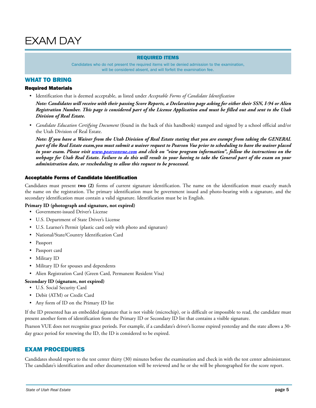#### REQUIRED ITEMS

Candidates who do not present the required items will be denied admission to the examination, will be considered absent, and will forfeit the examination fee.

#### WHAT TO BRING

#### Required Materials

• Identification that is deemed acceptable, as listed under *Acceptable Forms of Candidate Identification*

*Note: Candidates will receive with their passing Score Reports, a Declaration page asking for either their SSN, I-94 or Alien Registration Number. This page is considered part of the License Application and must be filled out and sent to the Utah Division of Real Estate.*

• *Candidate Education Certifying Document* (found in the back of this handbook) stamped and signed by a school official and/or the Utah Division of Real Estate.

*Note: If you have a Waiver from the Utah Division of Real Estate stating that you are exempt from taking the GENERAL part of the Real Estate exam,you must submit a waiver request to Pearson Vue prior to scheduling to have the waiver placed in your exam. Please visit www.pearsonvue.com and click on "view program information", follow the instructions on the webpage for Utah Real Estate. Failure to do this will result in your having to take the General part of the exam on your administration date, or rescheduling to allow this request to be processed.*

#### Acceptable Forms of Candidate Identification

Candidates must present **two (2)** forms of current signature identification. The name on the identification must exactly match the name on the registration. The primary identification must be government issued and photo-bearing with a signature, and the secondary identification must contain a valid signature. Identification must be in English.

#### **Primary ID (photograph and signature, not expired)**

- Government-issued Driver's License
- U.S. Department of State Driver's License
- U.S. Learner's Permit (plastic card only with photo and signature)
- National/State/Country Identification Card
- Passport
- Passport card
- Military ID
- Military ID for spouses and dependents
- Alien Registration Card (Green Card, Permanent Resident Visa)

#### **Secondary ID (signature, not expired)**

- U.S. Social Security Card
- Debit (ATM) or Credit Card
- Any form of ID on the Primary ID list

If the ID presented has an embedded signature that is not visible (microchip), or is difficult or impossible to read, the candidate must present another form of identification from the Primary ID or Secondary ID list that contains a visible signature.

Pearson VUE does not recognize grace periods. For example, if a candidate's driver's license expired yesterday and the state allows a 30 day grace period for renewing the ID, the ID is considered to be expired.

### EXAM PROCEDURES

Candidates should report to the test center thirty (30) minutes before the examination and check in with the test center administrator. The candidate's identification and other documentation will be reviewed and he or she will be photographed for the score report.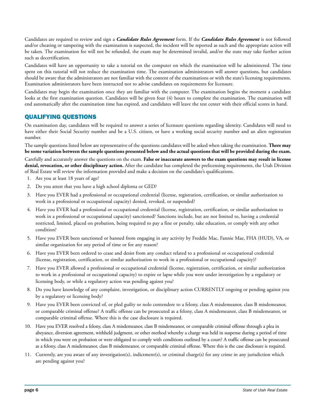Candidates are required to review and sign a *Candidate Rules Agreement* form. If the *Candidate Rules Agreement* is not followed and/or cheating or tampering with the examination is suspected, the incident will be reported as such and the appropriate action will be taken. The examination fee will not be refunded, the exam may be determined invalid, and/or the state may take further action such as decertification.

Candidates will have an opportunity to take a tutorial on the computer on which the examination will be administered. The time spent on this tutorial will not reduce the examination time. The examination administrators will answer questions, but candidates should be aware that the administrators are not familiar with the content of the examinations or with the state's licensing requirements. Examination administrators have been instructed not to advise candidates on requirements for licensure.

Candidates may begin the examination once they are familiar with the computer. The examination begins the moment a candidate looks at the first examination question. Candidates will be given four (4) hours to complete the examination. The examination will end automatically after the examination time has expired, and candidates will leave the test center with their official scores in hand.

# QUALIFYING QUESTIONS

On examination day, candidates will be required to answer a series of licensure questions regarding identity. Candidates will need to have either their Social Security number and be a U.S. citizen, or have a working social security number and an alien registration number.

The sample questions listed below are representative of the questions candidates will be asked when taking the examination. **There may be some variation between the sample questions presented below and the actual questions that will be provided during the exam.** Carefully and accurately answer the questions on the exam. **False or inaccurate answers to the exam questions may result in license** 

**denial, revocation, or other disciplinary action.** After the candidate has completed the prelicensing requirements, the Utah Division of Real Estate will review the information provided and make a decision on the candidate's qualifications.

- 1. Are you at least 18 years of age?
- 2. Do you attest that you have a high school diploma or GED?
- 3. Have you EVER had a professional or occupational credential (license, registration, certification, or similar authorization to work in a professional or occupational capacity) denied, revoked, or suspended?
- 4. Have you EVER had a professional or occupational credential (license, registration, certification, or similar authorization to work in a professional or occupational capacity) sanctioned? Sanctions include, but are not limited to, having a credential restricted, limited, placed on probation, being required to pay a fine or penalty, take education, or comply with any other condition?
- 5. Have you EVER been sanctioned or banned from engaging in any activity by Freddie Mac, Fannie Mae, FHA (HUD), VA, or similar organization for any period of time or for any reason?
- 6. Have you EVER been ordered to cease and desist from any conduct related to a professional or occupational credential (license, registration, certification, or similar authorization to work in a professional or occupational capacity)?
- 7. Have you EVER allowed a professional or occupational credential (license, registration, certification, or similar authorization to work in a professional or occupational capacity) to expire or lapse while you were under investigation by a regulatory or licensing body, or while a regulatory action was pending against you?
- 8. Do you have knowledge of any complaint, investigation, or disciplinary action CURRENTLY ongoing or pending against you by a regulatory or licensing body?
- 9. Have you EVER been convicted of, or pled guilty or nolo contendere to a felony, class A misdemeanor, class B misdemeanor, or comparable criminal offense? A traffic offense can be prosecuted as a felony, class A misdemeanor, class B misdemeanor, or comparable criminal offense. Where this is the case disclosure is required.
- 10. Have you EVER resolved a felony, class A misdemeanor, class B misdemeanor, or comparable criminal offense through a plea in abeyance, diversion agreement, withheld judgment, or other method whereby a charge was held in suspense during a period of time in which you were on probation or were obligated to comply with conditions outlined by a court? A traffic offense can be prosecuted as a felony, class A misdemeanor, class B misdemeanor, or comparable criminal offense. Where this is the case disclosure is required.
- 11. Currently, are you aware of any investigation(s), indictment(s), or criminal charge(s) for any crime in any jurisdiction which are pending against you?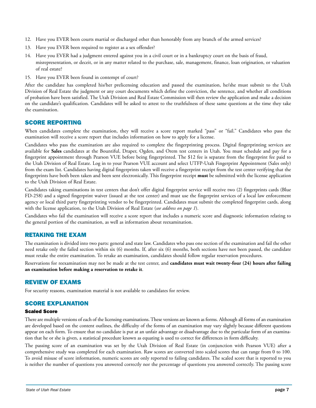- 12. Have you EVER been courts martial or discharged other than honorably from any branch of the armed services?
- 13. Have you EVER been required to register as a sex offender?
- 14. Have you EVER had a judgment entered against you in a civil court or in a bankruptcy court on the basis of fraud, misrepresentation, or deceit, or in any matter related to the purchase, sale, management, finance, loan origination, or valuation of real estate?
- 15. Have you EVER been found in contempt of court?

After the candidate has completed his/her prelicensing education and passed the examination, he/she must submit to the Utah Division of Real Estate the judgment or any court documents which define the conviction, the sentence, and whether all conditions of probation have been satisfied. The Utah Division and Real Estate Commission will then review the application and make a decision on the candidate's qualification. Candidates will be asked to attest to the truthfulness of these same questions at the time they take the examination.

### SCORE REPORTING

When candidates complete the examination, they will receive a score report marked "pass" or "fail." Candidates who pass the examination will receive a score report that includes information on how to apply for a license.

Candidates who pass the examination are also required to complete the fingerprinting process. Digital fingerprinting services are available for **Sales** candidates at the Bountiful, Draper, Ogden, and Orem test centers in Utah. You must schedule and pay for a fingerprint appointment through Pearson VUE before being fingerprinted. The \$12 fee is separate from the fingerprint fee paid to the Utah Division of Real Estate. Log in to your Pearson VUE account and select UTFP-Utah Fingerprint Appointment (Sales only) from the exam list. Candidates having digital fingerprints taken will receive a fingerprint receipt from the test center verifying that the fingerprints have both been taken and been sent electronically. This fingerprint receipt **must** be submitted with the license application to the Utah Division of Real Estate.

Candidates taking examinations in test centers that don't offer digital fingerprint service will receive two (2) fingerprints cards (Blue FD-258) and a signed fingerprint waiver (issued at the test center) and must use the fingerprint services of a local law enforcement agency or local third party fingerprinting vendor to be fingerprinted. Candidates must submit the completed fingerprint cards, along with the license application, to the Utah Division of Real Estate (*see address on page 1*).

Candidates who fail the examination will receive a score report that includes a numeric score and diagnostic information relating to the general portion of the examination, as well as information about reexamination.

### RETAKING THE EXAM

The examination is divided into two parts: general and state law. Candidates who pass one section of the examination and fail the other need retake only the failed section within six (6) months. If, after six (6) months, both sections have not been passed, the candidate must retake the entire examination. To retake an examination, candidates should follow regular reservation procedures.

Reservations for reexamination may not be made at the test center, and **candidates must wait twenty-four (24) hours after failing an examination before making a reservation to retake it**.

### REVIEW OF EXAMS

For security reasons, examination material is not available to candidates for review.

### SCORE EXPLANATION

#### Scaled Score

There are multiple versions of each of the licensing examinations. These versions are known as forms. Although all forms of an examination are developed based on the content outlines, the difficulty of the forms of an examination may vary slightly because different questions appear on each form. To ensure that no candidate is put at an unfair advantage or disadvantage due to the particular form of an examination that he or she is given, a statistical procedure known as equating is used to correct for differences in form difficulty.

The passing score of an examination was set by the Utah Division of Real Estate (in conjunction with Pearson VUE) after a comprehensive study was completed for each examination. Raw scores are converted into scaled scores that can range from 0 to 100. To avoid misuse of score information, numeric scores are only reported to failing candidates. The scaled score that is reported to you is neither the number of questions you answered correctly nor the percentage of questions you answered correctly. The passing score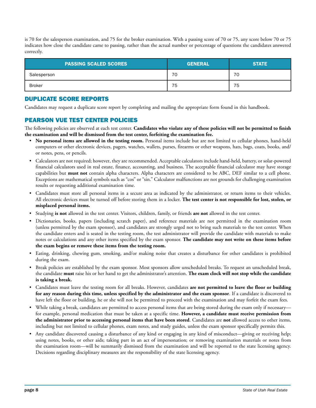is 70 for the salesperson examination, and 75 for the broker examination. With a passing score of 70 or 75, any score below 70 or 75 indicates how close the candidate came to passing, rather than the actual number or percentage of questions the candidates answered correctly.

| <b>PASSING SCALED SCORES</b> | <b>GENERAL</b> | <b>STATE</b> |  |
|------------------------------|----------------|--------------|--|
| Salesperson                  | 70             | 70           |  |
| <b>Broker</b>                | 75             | 75           |  |

# DUPLICATE SCORE REPORTS

Candidates may request a duplicate score report by completing and mailing the appropriate form found in this handbook.

# PEARSON VUE TEST CENTER POLICIES

The following policies are observed at each test center. **Candidates who violate any of these policies will not be permitted to finish the examination and will be dismissed from the test center, forfeiting the examination fee.**

- **No personal items are allowed in the testing room.** Personal items include but are not limited to cellular phones, hand-held computers or other electronic devices, pagers, watches, wallets, purses, firearms or other weapons, hats, bags, coats, books, and/ or notes, pens, or pencils.
- Calculators are not required; however, they are recommended. Acceptable calculators include hand-held, battery, or solar-powered financial calculators used in real estate, finance, accounting, and business. The acceptable financial calculator may have storage capabilities but **must not** contain alpha characters. Alpha characters are considered to be ABC, DEF similar to a cell phone. Exceptions are mathematical symbols such as "cos" or "sin." Calculator malfunctions are not grounds for challenging examination results or requesting additional examination time.
- Candidates must store all personal items in a secure area as indicated by the administrator, or return items to their vehicles. All electronic devices must be turned off before storing them in a locker. **The test center is not responsible for lost, stolen, or misplaced personal items.**
- Studying **is not** allowed in the test center. Visitors, children, family, or friends **are not** allowed in the test center.
- Dictionaries, books, papers (including scratch paper), and reference materials are not permitted in the examination room (unless permitted by the exam sponsor), and candidates are strongly urged not to bring such materials to the test center. When the candidate enters and is seated in the testing room, the test administrator will provide the candidate with materials to make notes or calculations and any other items specified by the exam sponsor. **The candidate may not write on these items before the exam begins or remove these items from the testing room.**
- Eating, drinking, chewing gum, smoking, and/or making noise that creates a disturbance for other candidates is prohibited during the exam.
- Break policies are established by the exam sponsor. Most sponsors allow unscheduled breaks. To request an unscheduled break, the candidate **must** raise his or her hand to get the administrator's attention. **The exam clock will not stop while the candidate is taking a break.**
- Candidates must leave the testing room for all breaks. However, candidates **are not permitted to leave the floor or building for any reason during this time, unless specified by the administrator and the exam sponsor**. If a candidate is discovered to have left the floor or building, he or she will not be permitted to proceed with the examination and may forfeit the exam fees.
- While taking a break, candidates are permitted to access personal items that are being stored during the exam only if necessary for example, personal medication that must be taken at a specific time. **However, a candidate must receive permission from the administrator prior to accessing personal items that have been stored**. Candidates are **not** allowed access to other items, including but not limited to cellular phones, exam notes, and study guides, unless the exam sponsor specifically permits this.
- Any candidate discovered causing a disturbance of any kind or engaging in any kind of misconduct—giving or receiving help; using notes, books, or other aids; taking part in an act of impersonation; or removing examination materials or notes from the examination room—will be summarily dismissed from the examination and will be reported to the state licensing agency. Decisions regarding disciplinary measures are the responsibility of the state licensing agency.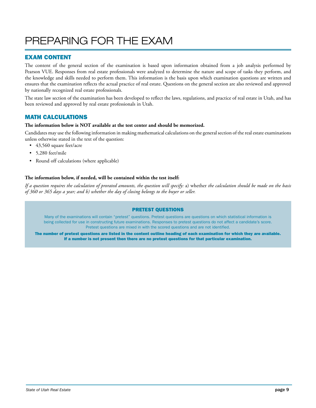# PREPARING FOR THE EXAM

# EXAM CONTENT

The content of the general section of the examination is based upon information obtained from a job analysis performed by Pearson VUE. Responses from real estate professionals were analyzed to determine the nature and scope of tasks they perform, and the knowledge and skills needed to perform them. This information is the basis upon which examination questions are written and ensures that the examination reflects the actual practice of real estate. Questions on the general section are also reviewed and approved by nationally recognized real estate professionals.

The state law section of the examination has been developed to reflect the laws, regulations, and practice of real estate in Utah, and has been reviewed and approved by real estate professionals in Utah.

# MATH CALCULATIONS

#### **The information below is NOT available at the test center and should be memorized.**

Candidates may use the following information in making mathematical calculations on the general section of the real estate examinations unless otherwise stated in the text of the question:

- 43,560 square feet/acre
- 5,280 feet/mile
- Round off calculations (where applicable)

#### **The information below, if needed, will be contained within the test itself:**

*If a question requires the calculation of prorated amounts, the question will specify:* a) whether *the calculation should be made on the basis of 360 or 365 days a year; and b) whether the day of closing belongs to the buyer or seller.*

#### PRETEST QUESTIONS

Many of the examinations will contain "pretest" questions. Pretest questions are questions on which statistical information is being collected for use in constructing future examinations. Responses to pretest questions do not affect a candidate's score. Pretest questions are mixed in with the scored questions and are not identified.

The number of pretest questions are listed in the content outline heading of each examination for which they are available. If a number is not present then there are no pretest questions for that particular examination.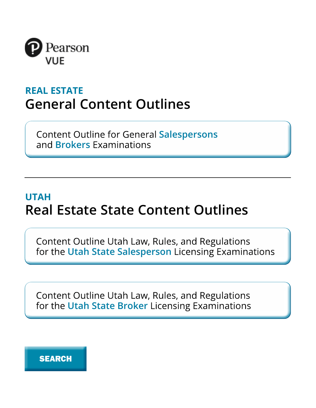

# **REAL ESTATE General Content Outlines**

**Content Outline for General Salespersons** and **Brokers** Examinations

# **UTAH Real Estate State Content Outlines**

Content Outline Utah Law, Rules, and Regulations for the Utah State Salesperson Licensing Examinations

Content Outline Utah Law, Rules, and Regulations For the Utah State Broker Licensing Examinations<br> **SEARCH** 

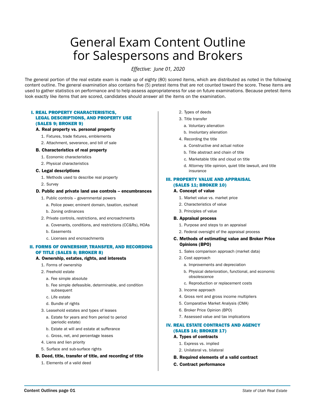# General Exam Content Outline for Salespersons and Brokers

*Effective: June 01, 2020*

The general portion of the real estate exam is made up of eighty (80) scored items, which are distributed as noted in the following content outline. The general examination also contains five (5) pretest items that are not counted toward the score. These items are used to gather statistics on performance and to help assess appropriateness for use on future examinations. Because pretest items look exactly like items that are scored, candidates should answer all the items on the examination.

#### I. REAL PROPERTY CHARACTERISTICS, LEGAL DESCRIPTIONS, AND PROPERTY USE (SALES 9; BROKER 9)

#### A. Real property vs. personal property

- 1. Fixtures, trade fixtures, emblements
- 2. Attachment, severance, and bill of sale

#### B. Characteristics of real property

- 1. Economic characteristics
- 2. Physical characteristics

#### C. Legal descriptions

- 1. Methods used to describe real property
- 2. Survey

#### D. Public and private land use controls – encumbrances

- 1. Public controls governmental powers
	- a. Police power, eminent domain, taxation, escheat
	- b. Zoning ordinances
- 2. Private controls, restrictions, and encroachments
	- a. Covenants, conditions, and restrictions (CC&Rs), HOAs
	- b. Easements
	- c. Licenses and encroachments

#### II. FORMS OF OWNERSHIP, TRANSFER, AND RECORDING OF TITLE (SALES 8; BROKER 8)

#### A. Ownership, estates, rights, and interests

- 1. Forms of ownership
- 2. Freehold estate
	- a. Fee simple absolute
	- b. Fee simple defeasible, determinable, and condition subsequent
	- c. Life estate
	- d. Bundle of rights
- 3. Leasehold estates and types of leases
	- a. Estate for years and from period to period (periodic estate)
	- b. Estate at will and estate at sufferance
	- c. Gross, net, and percentage leases
- 4. Liens and lien priority
- 5. Surface and sub-surface rights

#### B. Deed, title, transfer of title, and recording of title

1. Elements of a valid deed

- 2. Types of deeds
- 3. Title transfer
	- a. Voluntary alienation
	- b. Involuntary alienation
- 4. Recording the title
	- a. Constructive and actual notice
	- b. Title abstract and chain of title
	- c. Marketable title and cloud on title
	- d. Attorney title opinion, quiet title lawsuit, and title insurance

#### III. PROPERTY VALUE AND APPRAISAL (SALES 11; BROKER 10)

#### A. Concept of value

- 1. Market value vs. market price
- 2. Characteristics of value
- 3. Principles of value

#### B. Appraisal process

- 1. Purpose and steps to an appraisal
- 2. Federal oversight of the appraisal process

#### C. Methods of estimating value and Broker Price Opinions (BPO)

- 1. Sales comparison approach (market data)
- 2. Cost approach
	- a. Improvements and depreciation
	- b. Physical deterioration, functional, and economic obsolescence
	- c. Reproduction or replacement costs
- 3. Income approach
- 4. Gross rent and gross income multipliers
- 5. Comparative Market Analysis (CMA)
- 6. Broker Price Opinion (BPO)
- 7. Assessed value and tax implications

#### IV. REAL ESTATE CONTRACTS AND AGENCY (SALES 16; BROKER 17)

#### A. Types of contracts

- 1. Express vs. implied
- 2. Unilateral vs. bilateral
- B. Required elements of a valid contract
- C. Contract performance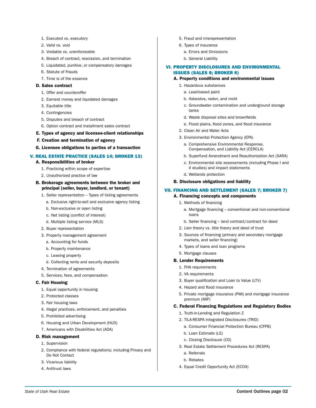- 1. Executed vs. executory
- 2. Valid vs. void
- 3. Voidable vs. unenforceable
- 4. Breach of contract, rescission, and termination
- 5. Liquidated, punitive, or compensatory damages
- 6. Statute of Frauds
- 7. Time is of the essence

#### D. Sales contract

- 1. Offer and counteroffer
- 2. Earnest money and liquidated damages
- 3. Equitable title
- 4. Contingencies
- 5. Disputes and breach of contract
- 6. Option contract and installment sales contract
- E. Types of agency and licensee-client relationships
- F. Creation and termination of agency
- G. Licensee obligations to parties of a transaction

#### V. REAL ESTATE PRACTICE (SALES 14; BROKER 13)

#### A. Responsibilities of broker

- 1. Practicing within scope of expertise
- 2. Unauthorized practice of law

#### B. Brokerage agreements between the broker and principal (seller, buyer, landlord, or tenant)

- 1. Seller representation Types of listing agreements a. Exclusive right-to-sell and exclusive agency listing
	- b. Non-exclusive or open listing
	- c. Net listing (conflict of interest)
	- d. Multiple listing service (MLS)
- 2. Buyer representation
- 3. Property management agreement
	- a. Accounting for funds
	- b. Property maintenance
	- c. Leasing property
	- d. Collecting rents and security deposits
- 4. Termination of agreements
- 5. Services, fees, and compensation

#### C. Fair Housing

- 1. Equal opportunity in housing
- 2. Protected classes
- 3. Fair housing laws
- 4. Illegal practices, enforcement, and penalties
- 5. Prohibited advertising
- 6. Housing and Urban Development (HUD)
- 7. Americans with Disabilities Act (ADA)

#### D. Risk management

- 1. Supervision
- 2. Compliance with federal regulations; including Privacy and Do Not Contact
- 3. Vicarious liability
- 4. Antitrust laws
- 5. Fraud and misrepresentation
- 6. Types of insurance
	- a. Errors and Omissions
	- b. General Liability

#### VI. PROPERTY DISCLOSURES AND ENVIRONMENTAL ISSUES (SALES 8; BROKER 8)

#### A. Property conditions and environmental issues

- 1. Hazardous substances
	- a. Lead-based paint
	- b. Asbestos, radon, and mold
	- c. Groundwater contamination and underground storage tanks
	- d. Waste disposal sites and brownfields
	- e. Flood plains, flood zones, and flood insurance
- 2. Clean Air and Water Acts
- 3. Environmental Protection Agency (EPA)
	- a. Comprehensive Environmental Response, Compensation, and Liability Act (CERCLA)
	- b. Superfund Amendment and Reauthorization Act (SARA)
	- c. Environmental site assessments (including Phase I and II studies) and impact statements
	- d. Wetlands protection

#### B. Disclosure obligations and liability

#### VII. FINANCING AND SETTLEMENT (SALES 7; BROKER 7)

#### A. Financing concepts and components

- 1. Methods of financing
	- a. Mortgage financing conventional and non-conventional loans
	- b. Seller financing land contract/contract for deed
- 2. Lien theory vs. title theory and deed of trust
- 3. Sources of financing (primary and secondary mortgage markets, and seller financing)
- 4. Types of loans and loan programs
- 5. Mortgage clauses

#### B. Lender Requirements

- 1. FHA requirements
- 2. VA requirements
- 3. Buyer qualification and Loan to Value (LTV)
- 4. Hazard and flood insurance
- 5. Private mortgage insurance (PMI) and mortgage insurance premium (MIP)

#### C. Federal Financing Regulations and Regulatory Bodies

- 1. Truth-in-Lending and Regulation Z
- 2. TILA-RESPA Integrated Disclosures (TRID)
	- a. Consumer Financial Protection Bureau (CFPB)
	- b. Loan Estimate (LE)
	- c. Closing Disclosure (CD)
- 3. Real Estate Settlement Procedures Act (RESPA)
	- a. Referrals
	- b. Rebates
- 4. Equal Credit Opportunity Act (ECOA)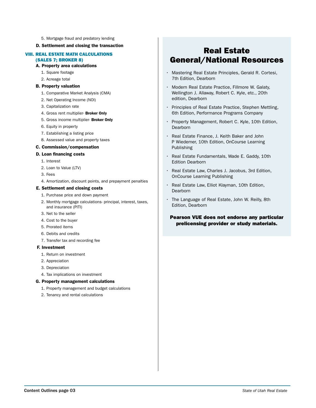5. Mortgage fraud and predatory lending

#### D. Settlement and closing the transaction

#### VIII. REAL ESTATE MATH CALCULATIONS (SALES 7; BROKER 8)

- A. Property area calculations
	- 1. Square footage
	- 2. Acreage total

#### B. Property valuation

- 1. Comparative Market Analysis (CMA)
- 2. Net Operating Income (NOI)
- 3. Capitalization rate
- 4. Gross rent multiplier- Broker Only
- 5. Gross income multiplier- Broker Only
- 6. Equity in property
- 7. Establishing a listing price
- 8. Assessed value and property taxes

#### C. Commission/compensation

#### D. Loan financing costs

- 1. Interest
- 2. Loan to Value (LTV)
- 3. Fees
- 4. Amortization, discount points, and prepayment penalties

#### E. Settlement and closing costs

- 1. Purchase price and down payment
- 2. Monthly mortgage calculations- principal, interest, taxes, and insurance (PITI)
- 3. Net to the seller
- 4. Cost to the buyer
- 5. Prorated items
- 6. Debits and credits
- 7. Transfer tax and recording fee

#### F. Investment

- 1. Return on investment
- 2. Appreciation
- 3. Depreciation
- 4. Tax implications on investment

#### G. Property management calculations

- 1. Property management and budget calculations
- 2. Tenancy and rental calculations

# Real Estate General/National Resources

- Mastering Real Estate Principles, Gerald R. Cortesi, 7th Edition, Dearborn
- Modern Real Estate Practice, Fillmore W. Galaty, Wellington J. Allaway, Robert C. Kyle, etc., 20th edition, Dearborn
- Principles of Real Estate Practice, Stephen Mettling, 6th Edition, Performance Programs Company
- Property Management, Robert C. Kyle, 10th Edition, **Dearborn**
- Real Estate Finance, J. Keith Baker and John P Wiedemer, 10th Edition, OnCourse Learning Publishing
- Real Estate Fundamentals, Wade E. Gaddy, 10th Edition Dearborn
- Real Estate Law, Charles J. Jacobus, 3rd Edition, OnCourse Learning Publishing
- Real Estate Law, Elliot Klayman, 10th Edition, **Dearborn**
- The Language of Real Estate, John W. Reilly, 8th Edition, Dearborn

#### Pearson VUE does not endorse any particular prelicensing provider or study materials.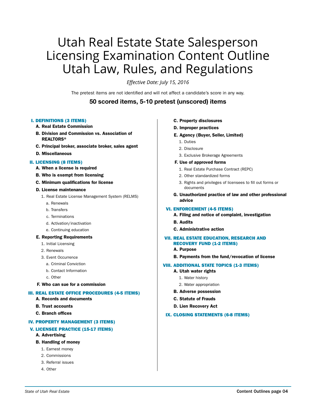# Utah Real Estate State Salesperson Licensing Examination Content Outline Utah Law, Rules, and Regulations

*Effective Date: July 15, 2016*

The pretest items are not identified and will not affect a candidate's score in any way.

# 50 scored items, 5-10 pretest (unscored) items

#### I. DEFINITIONS (3 ITEMS)

- A. Real Estate Commission
- B. Division and Commission vs. Association of REALTORS®
- C. Principal broker, associate broker, sales agent
- D. Miscellaneous

#### II. LICENSING (8 ITEMS)

- A. When a license is required
- B. Who is exempt from licensing
- C. Minimum qualifications for license

#### D. License maintenance

- 1. Real Estate License Management System (RELMS)
	- a. Renewals
	- b. Transfers
	- c. Terminations
	- d. Activation/inactivation
	- e. Continuing education

#### E. Reporting Requirements

- 1. Initial Licensing
- 2. Renewals
- 3. Event Occurrence
	- a. Criminal Conviction
	- b. Contact Information
	- c. Other
- F. Who can sue for a commission

#### III. REAL ESTATE OFFICE PROCEDURES (4-5 ITEMS)

- A. Records and documents
- B. Trust accounts
- C. Branch offices

#### IV. PROPERTY MANAGEMENT (3 ITEMS)

#### V. LICENSEE PRACTICE (15-17 ITEMS)

A. Advertising

#### B. Handling of money

- 1. Earnest money
- 2. Commissions
- 3. Referral issues
- 4. Other
- C. Property disclosures
- D. Improper practices
- E. Agency (Buyer, Seller, Limited)
	- 1. Duties
	- 2. Disclosure
	- 3. Exclusive Brokerage Agreements

#### F. Use of approved forms

- 1. Real Estate Purchase Contract (REPC)
- 2. Other standardized forms
- 3. Rights and privileges of licensees to fill out forms or documents
- G. Unauthorized practice of law and other professional advice

#### VI. ENFORCEMENT (4-5 ITEMS)

- A. Filing and notice of complaint, investigation
- B. Audits
- C. Administrative action

#### VII. REAL ESTATE EDUCATION, RESEARCH AND RECOVERY FUND (1-2 ITEMS)

- A. Purpose
- B. Payments from the fund/revocation of license

#### VIII. ADDITIONAL STATE TOPICS (1-3 ITEMS)

- A. Utah water rights
	- 1. Water history
	- 2. Water appropriation
- B. Adverse possession
- C. Statute of Frauds
- D. Lien Recovery Act

#### IX. CLOSING STATEMENTS (6-8 ITEMS)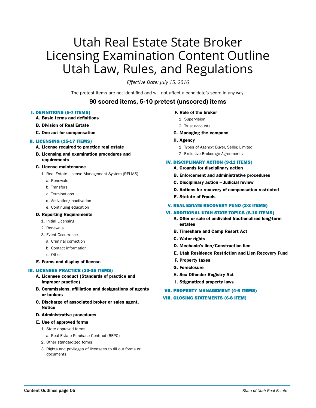# Utah Real Estate State Broker Licensing Examination Content Outline Utah Law, Rules, and Regulations

*Effective Date: July 15, 2016*

The pretest items are not identified and will not affect a candidate's score in any way.

# 90 scored items, 5-10 pretest (unscored) items

#### I. DEFINITIONS (5-7 ITEMS)

- A. Basic terms and definitions
- B. Division of Real Estate
- C. One act for compensation

#### II. LICENSING (15-17 ITEMS)

- A. License required to practice real estate
- B. Licensing and examination procedures and requirements

#### C. License maintenance

- 1. Real Estate License Management System (RELMS)
	- a. Renewals
	- b. Transfers
	- c. Terminations
	- d. Activation/inactivation
	- e. Continuing education

#### D. Reporting Requirements

- 1. Initial Licensing
- 2. Renewals
- 3. Event Occurrence
	- a. Criminal conviction
	- b. Contact information
	- c. Other

#### E. Forms and display of license

#### III. LICENSEE PRACTICE (33-35 ITEMS)

- A. Licensee conduct (Standards of practice and improper practice)
- B. Commissions, affiliation and designations of agents or brokers
- C. Discharge of associated broker or sales agent, Notice
- D. Administrative procedures

#### E. Use of approved forms

- 1. State approved forms
	- a. Real Estate Purchase Contract (REPC)
- 2. Other standardized forms
- 3. Rights and privileges of licensees to fill out forms or documents

#### F. Role of the broker

- 1. Supervision
- 2. Trust accounts
- G. Managing the company
- H. Agency
	- 1. Types of Agency: Buyer, Seller, Limited
	- 2. Exclusive Brokerage Agreements

#### IV. DISCIPLINARY ACTION (9-11 ITEMS)

- A. Grounds for disciplinary action
- B. Enforcement and administrative procedures
- C. Disciplinary action Judicial review
- D. Actions for recovery of compensation restricted
- E. Statute of Frauds
- V. REAL ESTATE RECOVERY FUND (2-3 ITEMS)

#### VI. ADDITIONAL UTAH STATE TOPICS (8-10 ITEMS)

- A. Offer or sale of undivided fractionalized long-term estates
- B. Timeshare and Camp Resort Act
- C. Water rights
- D. Mechanic's lien/Construction lien
- E. Utah Residence Restriction and Lien Recovery Fund
- F. Property taxes
- G. Foreclosure
- H. Sex Offender Registry Act
- I. Stigmatized property laws

#### VII. PROPERTY MANAGEMENT (4-6 ITEMS)

#### VIII. CLOSING STATEMENTS (6-8 ITEM)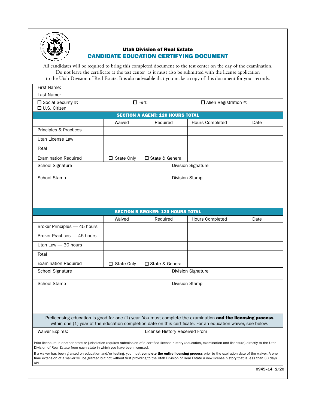

### Utah Division of Real Estate CANDIDATE EDUCATION CERTIFYING DOCUMENT

All candidates will be required to bring this completed document to the test center on the day of the examination. Do not leave the certificate at the test center as it must also be submitted with the license application to the Utah Division of Real Estate. It is also advisable that you make a copy of this document for your records.

| First Name:                                                                                                                                                                                                                                                                                                                          |                   |                                          |                 |                              |              |
|--------------------------------------------------------------------------------------------------------------------------------------------------------------------------------------------------------------------------------------------------------------------------------------------------------------------------------------|-------------------|------------------------------------------|-----------------|------------------------------|--------------|
| Last Name:                                                                                                                                                                                                                                                                                                                           |                   |                                          |                 |                              |              |
| □ Social Security #:<br>□ U.S. Citizen                                                                                                                                                                                                                                                                                               |                   | $\Box$ I-94:                             |                 | $\Box$ Alien Registration #: |              |
|                                                                                                                                                                                                                                                                                                                                      |                   | <b>SECTION A AGENT: 120 HOURS TOTAL</b>  |                 |                              |              |
|                                                                                                                                                                                                                                                                                                                                      | Waived            | Required                                 | Hours Completed |                              | Date         |
| Principles & Practices                                                                                                                                                                                                                                                                                                               |                   |                                          |                 |                              |              |
| Utah License Law                                                                                                                                                                                                                                                                                                                     |                   |                                          |                 |                              |              |
| Total                                                                                                                                                                                                                                                                                                                                |                   |                                          |                 |                              |              |
| <b>Examination Required</b>                                                                                                                                                                                                                                                                                                          | $\Box$ State Only | □ State & General                        |                 |                              |              |
| School Signature                                                                                                                                                                                                                                                                                                                     |                   |                                          |                 | <b>Division Signature</b>    |              |
| School Stamp                                                                                                                                                                                                                                                                                                                         |                   |                                          | Division Stamp  |                              |              |
|                                                                                                                                                                                                                                                                                                                                      |                   |                                          |                 |                              |              |
|                                                                                                                                                                                                                                                                                                                                      |                   |                                          |                 |                              |              |
|                                                                                                                                                                                                                                                                                                                                      |                   |                                          |                 |                              |              |
|                                                                                                                                                                                                                                                                                                                                      |                   | <b>SECTION B BROKER: 120 HOURS TOTAL</b> |                 |                              |              |
|                                                                                                                                                                                                                                                                                                                                      | Waived            | Required                                 |                 | Hours Completed              | Date         |
| Broker Principles - 45 hours                                                                                                                                                                                                                                                                                                         |                   |                                          |                 |                              |              |
| Broker Practices - 45 hours                                                                                                                                                                                                                                                                                                          |                   |                                          |                 |                              |              |
| Utah Law - 30 hours                                                                                                                                                                                                                                                                                                                  |                   |                                          |                 |                              |              |
| Total                                                                                                                                                                                                                                                                                                                                |                   |                                          |                 |                              |              |
| <b>Examination Required</b>                                                                                                                                                                                                                                                                                                          | $\Box$ State Only | □ State & General                        |                 |                              |              |
| School Signature                                                                                                                                                                                                                                                                                                                     |                   |                                          |                 | <b>Division Signature</b>    |              |
| School Stamp                                                                                                                                                                                                                                                                                                                         |                   |                                          | Division Stamp  |                              |              |
|                                                                                                                                                                                                                                                                                                                                      |                   |                                          |                 |                              |              |
|                                                                                                                                                                                                                                                                                                                                      |                   |                                          |                 |                              |              |
|                                                                                                                                                                                                                                                                                                                                      |                   |                                          |                 |                              |              |
|                                                                                                                                                                                                                                                                                                                                      |                   |                                          |                 |                              |              |
| Prelicensing education is good for one (1) year. You must complete the examination and the licensing process<br>within one (1) year of the education completion date on this certificate. For an education waiver, see below.                                                                                                        |                   |                                          |                 |                              |              |
| <b>Waiver Expires:</b><br>License History Received From                                                                                                                                                                                                                                                                              |                   |                                          |                 |                              |              |
| Prior licensure in another state or jurisdiction requires submission of a certified license history (education, examination and licensure) directly to the Utah<br>Division of Real Estate from each state in which you have been licensed.                                                                                          |                   |                                          |                 |                              |              |
| If a waiver has been granted on education and/or testing, you must complete the entire licensing process prior to the expiration date of the waiver. A one<br>time extension of a waiver will be granted but not without first providing to the Utah Division of Real Estate a new license history that is less than 30 days<br>old. |                   |                                          |                 |                              |              |
|                                                                                                                                                                                                                                                                                                                                      |                   |                                          |                 |                              | 0945-14 2/20 |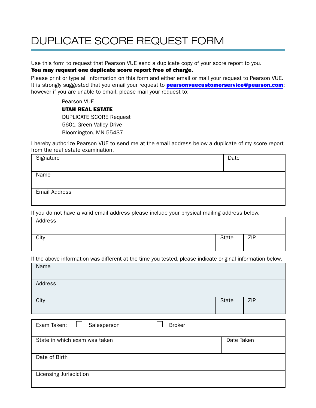# DUPLICATE SCORE REQUEST FORM

Use this form to request that Pearson VUE send a duplicate copy of your score report to you.

# You may request one duplicate score report free of charge.

Please print or type all information on this form and either email or mail your request to Pearson VUE. It is strongly suggested that you email your request to **pearsonvuecustomerservice@pearson.com**; however if you are unable to email, please mail your request to:

Pearson VUE

### UTAH REAL ESTATE

DUPLICATE SCORE Request 5601 Green Valley Drive Bloomington, MN 55437

I hereby authorize Pearson VUE to send me at the email address below a duplicate of my score report from the real estate examination.

| Signature            | Date |
|----------------------|------|
|                      |      |
| Name                 |      |
|                      |      |
|                      |      |
| <b>Email Address</b> |      |
|                      |      |

If you do not have a valid email address please include your physical mailing address below.

| Address |              |     |
|---------|--------------|-----|
| City    | <b>State</b> | ZIP |

If the above information was different at the time you tested, please indicate original information below.

| Name    |       |            |
|---------|-------|------------|
| Address |       |            |
| City    | State | <b>ZIP</b> |

| Exam Taken:<br>Salesperson    | <b>Broker</b> |            |
|-------------------------------|---------------|------------|
| State in which exam was taken |               | Date Taken |
| Date of Birth                 |               |            |
| Licensing Jurisdiction        |               |            |